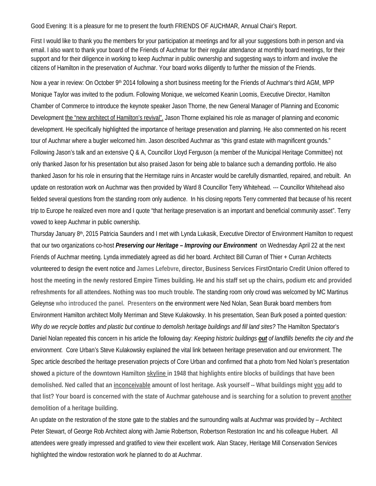Good Evening: It is a pleasure for me to present the fourth FRIENDS OF AUCHMAR, Annual Chair's Report.

First I would like to thank you the members for your participation at meetings and for all your suggestions both in person and via email. I also want to thank your board of the Friends of Auchmar for their regular attendance at monthly board meetings, for their support and for their diligence in working to keep Auchmar in public ownership and suggesting ways to inform and involve the citizens of Hamilton in the preservation of Auchmar. Your board works diligently to further the mission of the Friends.

Now a year in review: On October 9<sup>th</sup> 2014 following a short business meeting for the Friends of Auchmar's third AGM, MPP Monique Taylor was invited to the podium. Following Monique, we welcomed Keanin Loomis, Executive Director, Hamilton Chamber of Commerce to introduce the keynote speaker Jason Thorne, the new General Manager of Planning and Economic Development the "new architect of Hamilton's revival". Jason Thorne explained his role as manager of planning and economic development. He specifically highlighted the importance of heritage preservation and planning. He also commented on his recent tour of Auchmar where a bugler welcomed him. Jason described Auchmar as "this grand estate with magnificent grounds." Following Jason's talk and an extensive Q & A, Councillor Lloyd Ferguson (a member of the Municipal Heritage Committee) not only thanked Jason for his presentation but also praised Jason for being able to balance such a demanding portfolio. He also thanked Jason for his role in ensuring that the Hermitage ruins in Ancaster would be carefully dismantled, repaired, and rebuilt. An update on restoration work on Auchmar was then provided by Ward 8 Councillor Terry Whitehead. --- Councillor Whitehead also fielded several questions from the standing room only audience. In his closing reports Terry commented that because of his recent trip to Europe he realized even more and I quote "that heritage preservation is an important and beneficial community asset". Terry vowed to keep Auchmar in public ownership.

Thursday January 8th, 2015 Patricia Saunders and I met with Lynda Lukasik, Executive Director of Environment Hamilton to request that our two organizations co-host *Preserving our Heritage – Improving our Environment* on Wednesday April 22 at the next Friends of Auchmar meeting. Lynda immediately agreed as did her board. Architect Bill Curran of Thier + Curran Architects volunteered to design the event notice and **James Lefebvre, director, Business Services FirstOntario Credit Union offered to host the meeting in the newly restored Empire Times building. He and his staff set up the chairs, podium etc and provided refreshments for all attendees. Nothing was too much trouble.** The standing room only crowd was welcomed by MC Martinus Geleynse **who introduced the panel. Presenters** on the environment were Ned Nolan, Sean Burak board members from Environment Hamilton architect Molly Merriman and Steve Kulakowsky. In his presentation, Sean Burk posed a pointed question*: Why do we recycle bottles and plastic but continue to demolish heritage buildings and fill land sites?* The Hamilton Spectator's Daniel Nolan repeated this concern in his article the following day: *Keeping historic buildings out of landfills benefits the city and the environment.* Core Urban's Steve Kulakowsky explained the vital link between heritage preservation and our environment. The Spec article described the heritage preservation projects of Core Urban and confirmed that a photo from Ned Nolan's presentation showed **a picture of the downtown Hamilton skyline in 1948 that highlights entire blocks of buildings that have been demolished. Ned called that an inconceivable amount of lost heritage. Ask yourself -- What buildings might you add to that list? Your board is concerned with the state of Auchmar gatehouse and is searching for a solution to prevent another demolition of a heritage building.** 

An update on the restoration of the stone gate to the stables and the surrounding walls at Auchmar was provided by – Architect Peter Stewart, of George Rob Architect along with Jamie Robertson, Robertson Restoration Inc and his colleague Hubert. All attendees were greatly impressed and gratified to view their excellent work. Alan Stacey, Heritage Mill Conservation Services highlighted the window restoration work he planned to do at Auchmar.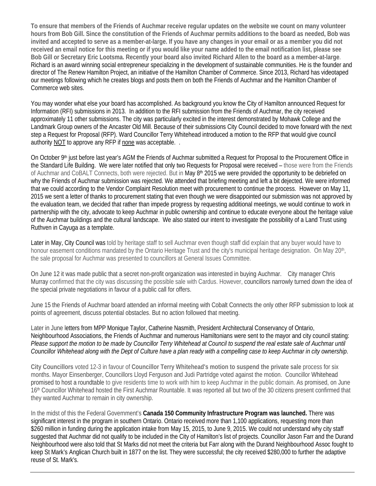**To ensure that members of the Friends of Auchmar receive regular updates on the website we count on many volunteer hours from Bob Gill. Since the constitution of the Friends of Auchmar permits additions to the board as needed, Bob was invited and accepted to serve as a member-at-large. If you have any changes in your email or as a member you did not received an email notice for this meeting or if you would like your name added to the email notification list, please see Bob Gill or Secretary Eric Lootsma. Recently your board also invited Richard Allen to the board as a member-at-large**. Richard is an award winning social entrepreneur specializing in the development of sustainable communities. He is the founder and director of The Renew Hamilton Project, an initiative of the Hamilton Chamber of Commerce. Since 2013, Richard has videotaped our meetings following which he creates blogs and posts them on both the Friends of Auchmar and the Hamilton Chamber of Commerce web sites.

You may wonder what else your board has accomplished. As background you know the City of Hamilton announced Request for Information (RFI) submissions in 2013. In addition to the RFI submission from the Friends of Auchmar, the city received approximately 11 other submissions. The city was particularly excited in the interest demonstrated by Mohawk College and the Landmark Group owners of the Ancaster Old Mill. Because of their submissions City Council decided to move forward with the next step a Request for Proposal (RFP). Ward Councillor Terry Whitehead introduced a motion to the RFP that would give council authority NOT to approve any RFP if none was acceptable. .

On October 9<sup>th</sup> just before last year's AGM the Friends of Auchmar submitted a Request for Proposal to the Procurement Office in the Standard Life Building. We were later notified that only two Requests for Proposal were received – those were from the Friends of Auchmar and CoBALT Connects, both were rejected. But in May 8<sup>th</sup> 2015 we were provided the opportunity to be debriefed on why the Friends of Auchmar submission was rejected. We attended that briefing meeting and left a bit dejected. We were informed that we could according to the Vendor Complaint Resolution meet with procurement to continue the process. However on May 11, 2015 we sent a letter of thanks to procurement stating that even though we were disappointed our submission was not approved by the evaluation team, we decided that rather than impede progress by requesting additional meetings, we would continue to work in partnership with the city, advocate to keep Auchmar in public ownership and continue to educate everyone about the heritage value of the Auchmar buildings and the cultural landscape. We also stated our intent to investigate the possibility of a Land Trust using Ruthven in Cayuga as a template.

Later in May, City Council was told by heritage staff to sell Auchmar even though staff did explain that any buyer would have to honour easement conditions mandated by the Ontario Heritage Trust and the city's municipal heritage designation. On May 20<sup>th</sup>, the sale proposal for Auchmar was presented to councillors at General Issues Committee.

On June 12 it was made public that a secret non-profit organization was interested in buying Auchmar. City manager Chris Murray confirmed that the city was discussing the possible sale with Cardus. However, councillors narrowly turned down the idea of the special private negotiations in favour of a public call for offers.

June 15 the Friends of Auchmar board attended an informal meeting with Cobalt Connects the only other RFP submission to look at points of agreement, discuss potential obstacles. But no action followed that meeting.

Later in June letters from MPP Monique Taylor, Catherine Nasmith, President Architectural Conservancy of Ontario, Neighbourhood Associations, the Friends of Auchmar and numerous Hamiltonians were sent to the mayor and city council stating: *Please support the motion to be made by Councillor Terry Whitehead at Council to suspend the real estate sale of Auchmar until Councillor Whitehead along with the Dept of Culture have a plan ready with a compelling case to keep Auchmar in city ownership*.

**City Councillors** voted 12-3 in favour of **Councillor Terry Whitehead's motion to suspend the private sale** process for six months. Mayor Einsenberger, Councillors Lloyd Ferguson and Judi Partridge voted against the motion. Councillor Whitehead promised to host a roundtable to give residents time to work with him to keep Auchmar in the public domain. As promised, on June 16th Councillor Whitehead hosted the First Auchmar Rountable. It was reported all but two of the 30 citizens present confirmed that they wanted Auchmar to remain in city ownership.

In the midst of this the Federal Government's **Canada 150 Community Infrastructure Program was launched.** There was significant interest in the program in southern Ontario. Ontario received more than 1,100 applications, requesting more than \$260 million in funding during the application intake from May 15, 2015, to June 9, 2015. We could not understand why city staff suggested that Auchmar did not qualify to be included in the City of Hamilton's list of projects. Councillor Jason Farr and the Durand Neighbourhood were also told that St Marks did not meet the criteria but Farr along with the Durand Neighbourhood Assoc fought to keep St Mark's Anglican Church built in 1877 on the list. They were successful; the city received \$280,000 to further the adaptive reuse of St. Mark's.